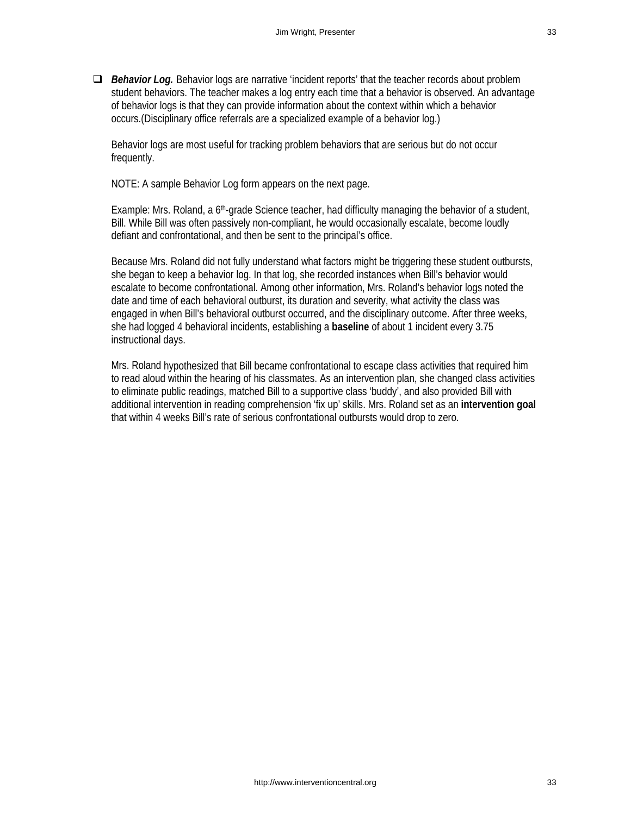□ *Behavior Log.* Behavior logs are narrative 'incident reports' that the teacher records about problem student behaviors. The teacher makes a log entry each time that a behavior is observed. An advantage of behavior logs is that they can provide information about the context within which a behavior occurs.(Disciplinary office referrals are a specialized example of a behavior log.)

Behavior logs are most useful for tracking problem behaviors that are serious but do not occur frequently.

NOTE: A sample Behavior Log form appears on the next page.

Example: Mrs. Roland, a 6th-grade Science teacher, had difficulty managing the behavior of a student, Bill. While Bill was often passively non-compliant, he would occasionally escalate, become loudly defiant and confrontational, and then be sent to the principal's office.

Because Mrs. Roland did not fully understand what factors might be triggering these student outbursts, she began to keep a behavior log. In that log, she recorded instances when Bill's behavior would escalate to become confrontational. Among other information, Mrs. Roland's behavior logs noted the date and time of each behavioral outburst, its duration and severity, what activity the class was engaged in when Bill's behavioral outburst occurred, and the disciplinary outcome. After three weeks, she had logged 4 behavioral incidents, establishing a **baseline** of about 1 incident every 3.75 instructional days.

Mrs. Roland hypothesized that Bill became confrontational to escape class activities that required him to read aloud within the hearing of his classmates. As an intervention plan, she changed class activities to eliminate public readings, matched Bill to a supportive class 'buddy', and also provided Bill with additional intervention in reading comprehension 'fix up' skills. Mrs. Roland set as an **intervention goal** that within 4 weeks Bill's rate of serious confrontational outbursts would drop to zero.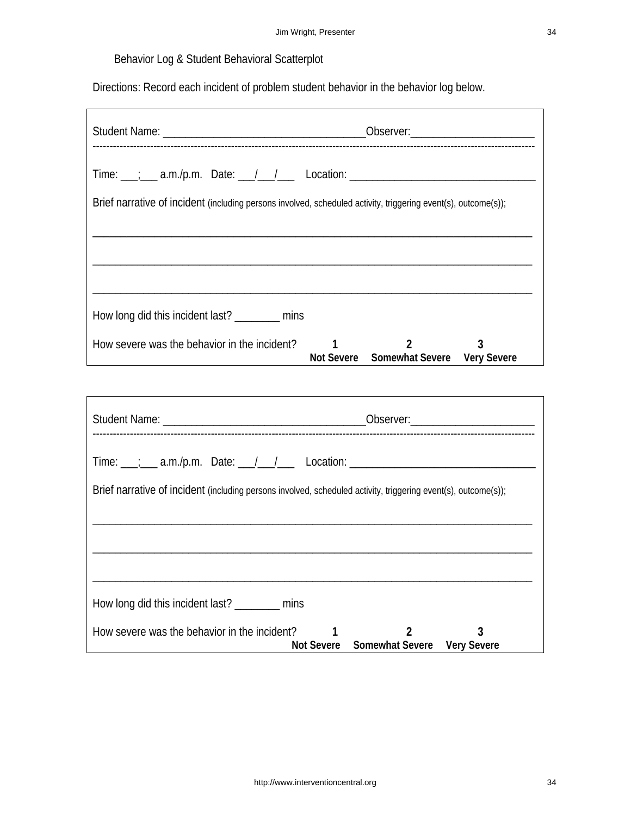## Behavior Log & Student Behavioral Scatterplot

Directions: Record each incident of problem student behavior in the behavior log below.

| Time: ___; ___ a.m./p.m. Date: ___/ __/ ___ Location: ___________________________                              |  |                                                          |   |  |  |  |  |  |
|----------------------------------------------------------------------------------------------------------------|--|----------------------------------------------------------|---|--|--|--|--|--|
| Brief narrative of incident (including persons involved, scheduled activity, triggering event(s), outcome(s)); |  |                                                          |   |  |  |  |  |  |
|                                                                                                                |  |                                                          |   |  |  |  |  |  |
|                                                                                                                |  |                                                          |   |  |  |  |  |  |
| How long did this incident last? _________ mins                                                                |  |                                                          |   |  |  |  |  |  |
| How severe was the behavior in the incident?                                                                   |  | $\mathfrak{p}$<br>Not Severe Somewhat Severe Very Severe | 3 |  |  |  |  |  |

| Brief narrative of incident (including persons involved, scheduled activity, triggering event(s), outcome(s)); |                                                                                    |  |  |  |  |  |  |  |
|----------------------------------------------------------------------------------------------------------------|------------------------------------------------------------------------------------|--|--|--|--|--|--|--|
|                                                                                                                |                                                                                    |  |  |  |  |  |  |  |
|                                                                                                                |                                                                                    |  |  |  |  |  |  |  |
|                                                                                                                |                                                                                    |  |  |  |  |  |  |  |
| How long did this incident last? _________ mins                                                                |                                                                                    |  |  |  |  |  |  |  |
| How severe was the behavior in the incident?                                                                   | $\overline{2}$<br>$\sim$ 1 $\sim$ 1<br>3<br>Not Severe Somewhat Severe Very Severe |  |  |  |  |  |  |  |